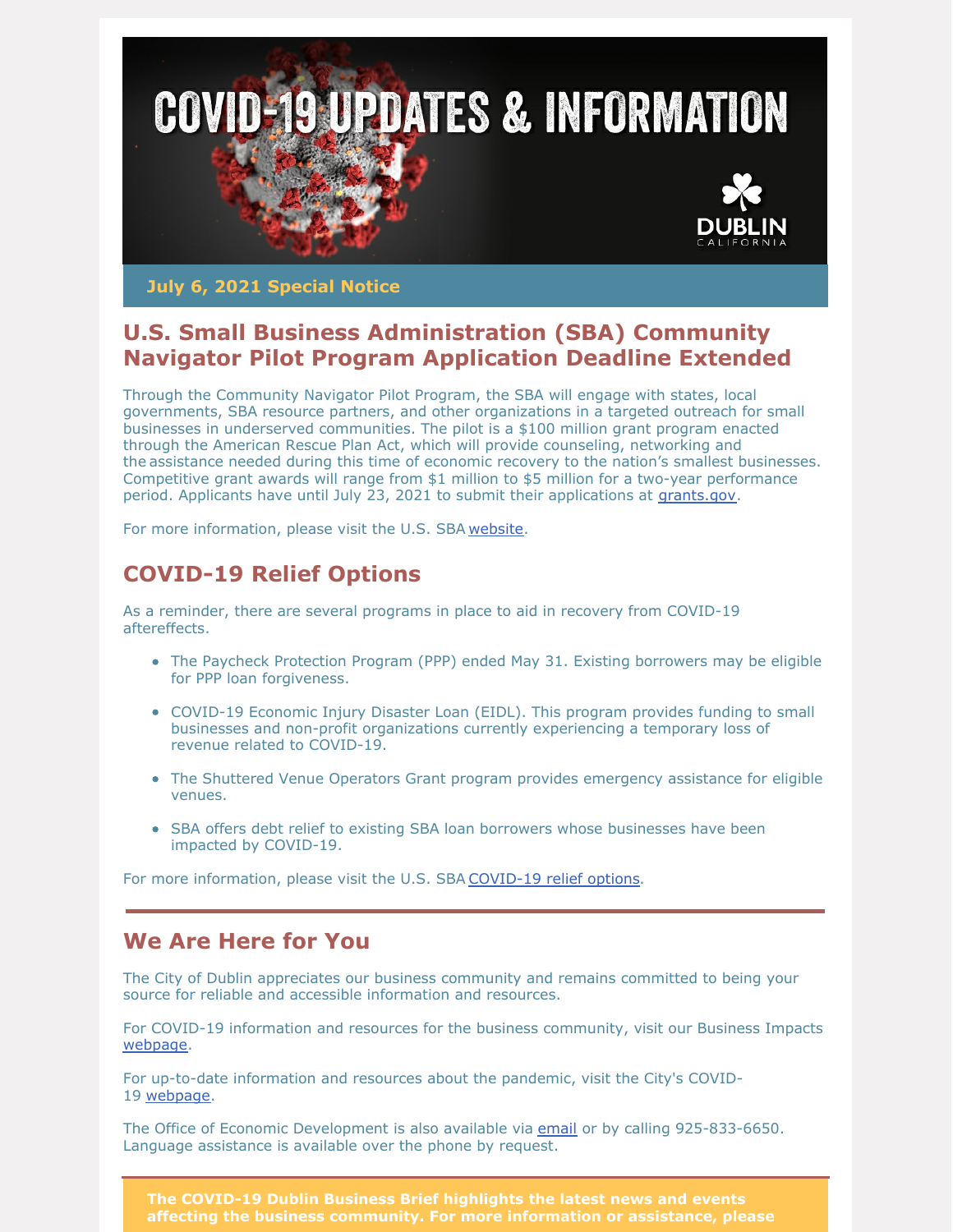

**July 6, 2021 Special Notice**

## **U.S. Small Business Administration (SBA) Community Navigator Pilot Program Application Deadline Extended**

Through the Community Navigator Pilot Program, the SBA will engage with states, local governments, SBA resource partners, and other organizations in a targeted outreach for small businesses in underserved communities. The pilot is a \$100 million grant program enacted through the American Rescue Plan Act, which will provide counseling, networking and the assistance needed during this time of economic recovery to the nation's smallest businesses. Competitive grant awards will range from \$1 million to \$5 million for a two-year performance period. Applicants have until July 23, 2021 to submit their applications at [grants.gov](https://www.grants.gov/web/grants/search-grants.html?keywords=59.077&utm_medium=email&utm_source=govdelivery).

For more information, please visit the U.S. SBA [website](https://www.sba.gov/article/2021/jul/01/sba-announces-extension-100-million-grant-community-navigator-pilot-program-proposals-july-23-2021?utm_medium=email&utm_source=govdelivery).

## **COVID-19 Relief Options**

As a reminder, there are several programs in place to aid in recovery from COVID-19 aftereffects.

- The Paycheck Protection Program (PPP) ended May 31. Existing borrowers may be eligible for PPP loan forgiveness.
- COVID-19 Economic Injury Disaster Loan (EIDL). This program provides funding to small businesses and non-profit organizations currently experiencing a temporary loss of revenue related to COVID-19.
- The Shuttered Venue Operators Grant program provides emergency assistance for eligible venues.
- SBA offers debt relief to existing SBA loan borrowers whose businesses have been impacted by COVID-19.

For more information, please visit the U.S. SBA [COVID-19 relief options](https://www.sba.gov/funding-programs/loans/covid-19-relief-options?utm_medium=email&utm_source=govdelivery).

## **We Are Here for You**

The City of Dublin appreciates our business community and remains committed to being your source for reliable and accessible information and resources.

For COVID-19 information and resources for the business community, visit our Business Impacts [webpage](https://dublin.ca.gov/2177/COVID-19-Business-Impacts).

For up-to-date information and resources about the pandemic, visit the City's COVID-19 [webpage](https://www.dublin.ca.gov/coronavirus).

The Office of Economic Development is also available via [email](mailto:economic.development@dublin.ca.gov) or by calling 925-833-6650. Language assistance is available over the phone by request.

**The COVID-19 Dublin Business Brief highlights the latest news and events affecting the business community. For more information or assistance, please**